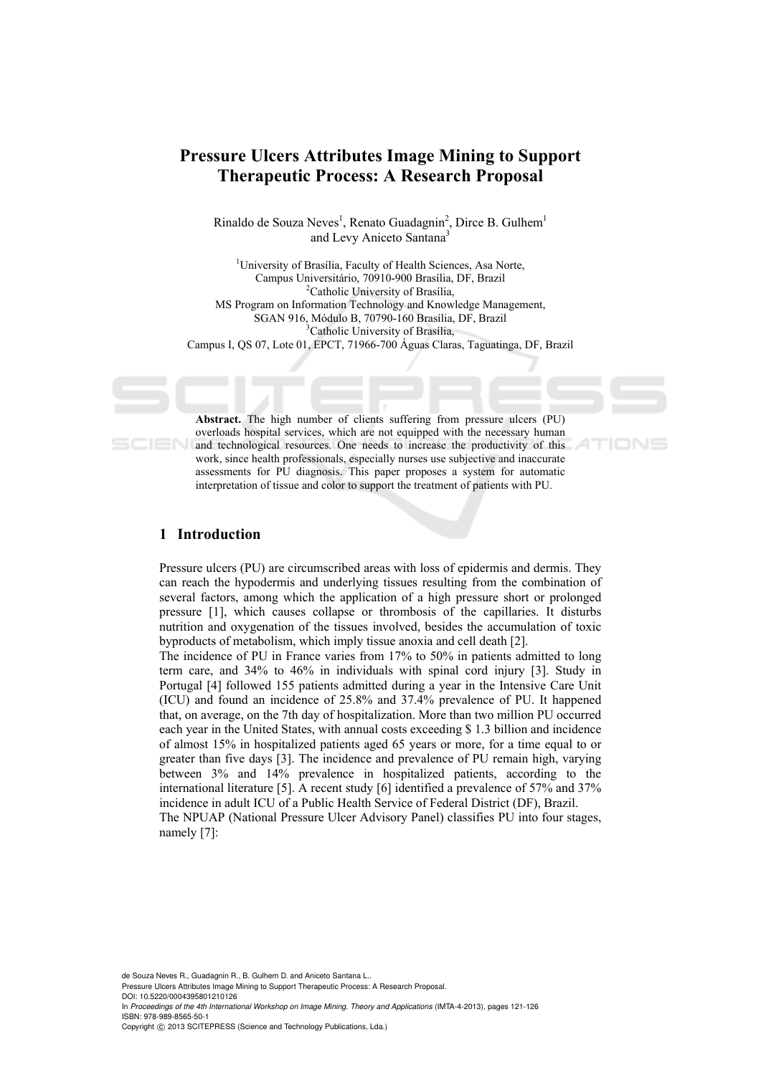# **Pressure Ulcers Attributes Image Mining to Support Therapeutic Process: A Research Proposal**

Rinaldo de Souza Neves<sup>1</sup>, Renato Guadagnin<sup>2</sup>, Dirce B. Gulhem<sup>1</sup> and Levy Aniceto Santana<sup>3</sup>

<sup>1</sup>University of Brasília, Faculty of Health Sciences, Asa Norte, Campus Universitário, 70910-900 Brasília, DF, Brazil 2 <sup>2</sup>Catholic University of Brasília, MS Program on Information Technology and Knowledge Management, SGAN 916, Módulo B, 70790-160 Brasília, DF, Brazil 3 <sup>3</sup>Catholic University of Brasília, Campus I, QS 07, Lote 01, EPCT, 71966-700 Águas Claras, Taguatinga, DF, Brazil

**Abstract.** The high number of clients suffering from pressure ulcers (PU) overloads hospital services, which are not equipped with the necessary human and technological resources. One needs to increase the productivity of this work, since health professionals, especially nurses use subjective and inaccurate assessments for PU diagnosis. This paper proposes a system for automatic interpretation of tissue and color to support the treatment of patients with PU.

# **1 Introduction**

Pressure ulcers (PU) are circumscribed areas with loss of epidermis and dermis. They can reach the hypodermis and underlying tissues resulting from the combination of several factors, among which the application of a high pressure short or prolonged pressure [1], which causes collapse or thrombosis of the capillaries. It disturbs nutrition and oxygenation of the tissues involved, besides the accumulation of toxic byproducts of metabolism, which imply tissue anoxia and cell death [2].

The incidence of PU in France varies from 17% to 50% in patients admitted to long term care, and 34% to 46% in individuals with spinal cord injury [3]. Study in Portugal [4] followed 155 patients admitted during a year in the Intensive Care Unit (ICU) and found an incidence of 25.8% and 37.4% prevalence of PU. It happened that, on average, on the 7th day of hospitalization. More than two million PU occurred each year in the United States, with annual costs exceeding \$ 1.3 billion and incidence of almost 15% in hospitalized patients aged 65 years or more, for a time equal to or greater than five days [3]. The incidence and prevalence of PU remain high, varying between 3% and 14% prevalence in hospitalized patients, according to the international literature [5]. A recent study [6] identified a prevalence of 57% and 37% incidence in adult ICU of a Public Health Service of Federal District (DF), Brazil. The NPUAP (National Pressure Ulcer Advisory Panel) classifies PU into four stages, namely [7]:

de Souza Neves R., Guadagnin R., B. Gulhem D. and Aniceto Santana L..

Pressure Ulcers Attributes Image Mining to Support Therapeutic Process: A Research Proposal. DOI: 10.5220/0004395801210126

In *Proceedings of the 4th International Workshop on Image Mining. Theory and Applications* (IMTA-4-2013), pages 121-126 ISBN: 978-989-8565-50-1

Copyright © 2013 SCITEPRESS (Science and Technology Publications, Lda.)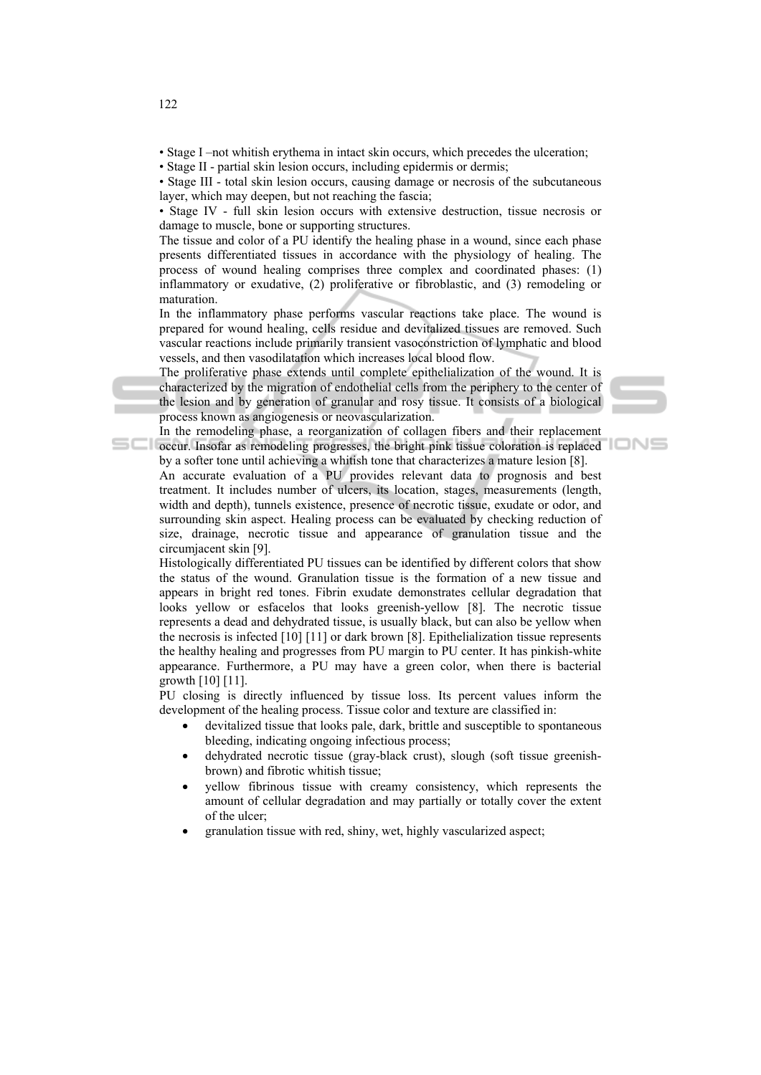- Stage I –not whitish erythema in intact skin occurs, which precedes the ulceration;
- Stage II partial skin lesion occurs, including epidermis or dermis;

• Stage III - total skin lesion occurs, causing damage or necrosis of the subcutaneous layer, which may deepen, but not reaching the fascia;

• Stage IV - full skin lesion occurs with extensive destruction, tissue necrosis or damage to muscle, bone or supporting structures.

The tissue and color of a PU identify the healing phase in a wound, since each phase presents differentiated tissues in accordance with the physiology of healing. The process of wound healing comprises three complex and coordinated phases: (1) inflammatory or exudative, (2) proliferative or fibroblastic, and (3) remodeling or maturation.

In the inflammatory phase performs vascular reactions take place. The wound is prepared for wound healing, cells residue and devitalized tissues are removed. Such vascular reactions include primarily transient vasoconstriction of lymphatic and blood vessels, and then vasodilatation which increases local blood flow.

The proliferative phase extends until complete epithelialization of the wound. It is characterized by the migration of endothelial cells from the periphery to the center of the lesion and by generation of granular and rosy tissue. It consists of a biological process known as angiogenesis or neovascularization.

In the remodeling phase, a reorganization of collagen fibers and their replacement **Example 20** occur. Insofar as remodeling progresses, the bright pink tissue coloration is replaced by a softer tone until achieving a whitish tone that characterizes a mature lesion [8].

An accurate evaluation of a PU provides relevant data to prognosis and best treatment. It includes number of ulcers, its location, stages, measurements (length, width and depth), tunnels existence, presence of necrotic tissue, exudate or odor, and surrounding skin aspect. Healing process can be evaluated by checking reduction of size, drainage, necrotic tissue and appearance of granulation tissue and the circumjacent skin [9].

Histologically differentiated PU tissues can be identified by different colors that show the status of the wound. Granulation tissue is the formation of a new tissue and appears in bright red tones. Fibrin exudate demonstrates cellular degradation that looks yellow or esfacelos that looks greenish-yellow [8]. The necrotic tissue represents a dead and dehydrated tissue, is usually black, but can also be yellow when the necrosis is infected [10] [11] or dark brown [8]. Epithelialization tissue represents the healthy healing and progresses from PU margin to PU center. It has pinkish-white appearance. Furthermore, a PU may have a green color, when there is bacterial growth  $[10]$   $[11]$ .

PU closing is directly influenced by tissue loss. Its percent values inform the development of the healing process. Tissue color and texture are classified in:

- devitalized tissue that looks pale, dark, brittle and susceptible to spontaneous bleeding, indicating ongoing infectious process;
- dehydrated necrotic tissue (gray-black crust), slough (soft tissue greenishbrown) and fibrotic whitish tissue;
- yellow fibrinous tissue with creamy consistency, which represents the amount of cellular degradation and may partially or totally cover the extent of the ulcer;
- granulation tissue with red, shiny, wet, highly vascularized aspect;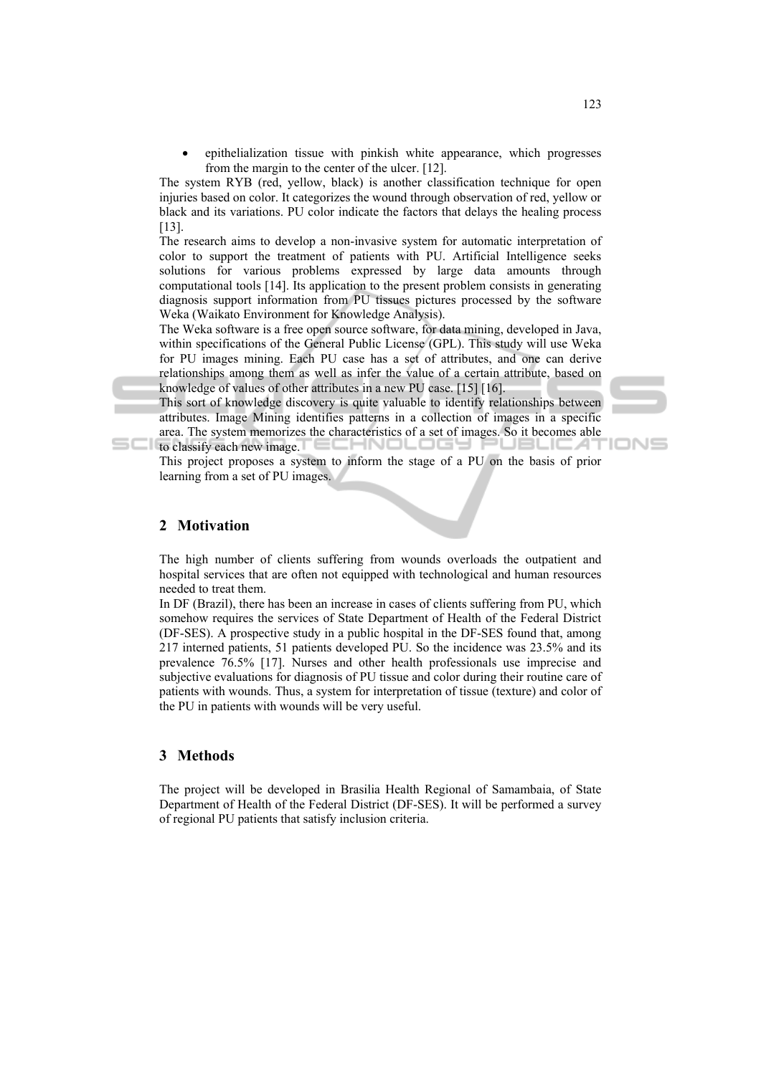epithelialization tissue with pinkish white appearance, which progresses from the margin to the center of the ulcer. [12].

The system RYB (red, yellow, black) is another classification technique for open injuries based on color. It categorizes the wound through observation of red, yellow or black and its variations. PU color indicate the factors that delays the healing process [13].

The research aims to develop a non-invasive system for automatic interpretation of color to support the treatment of patients with PU. Artificial Intelligence seeks solutions for various problems expressed by large data amounts through computational tools [14]. Its application to the present problem consists in generating diagnosis support information from PU tissues pictures processed by the software Weka (Waikato Environment for Knowledge Analysis).

The Weka software is a free open source software, for data mining, developed in Java, within specifications of the General Public License (GPL). This study will use Weka for PU images mining. Each PU case has a set of attributes, and one can derive relationships among them as well as infer the value of a certain attribute, based on knowledge of values of other attributes in a new PU case. [15] [16].

This sort of knowledge discovery is quite valuable to identify relationships between attributes. Image Mining identifies patterns in a collection of images in a specific area. The system memorizes the characteristics of a set of images. So it becomes able to classify each new image. :chnology

This project proposes a system to inform the stage of a PU on the basis of prior learning from a set of PU images.

#### **2 Motivation**

The high number of clients suffering from wounds overloads the outpatient and hospital services that are often not equipped with technological and human resources needed to treat them.

In DF (Brazil), there has been an increase in cases of clients suffering from PU, which somehow requires the services of State Department of Health of the Federal District (DF-SES). A prospective study in a public hospital in the DF-SES found that, among 217 interned patients, 51 patients developed PU. So the incidence was 23.5% and its prevalence 76.5% [17]. Nurses and other health professionals use imprecise and subjective evaluations for diagnosis of PU tissue and color during their routine care of patients with wounds. Thus, a system for interpretation of tissue (texture) and color of the PU in patients with wounds will be very useful.

### **3 Methods**

The project will be developed in Brasilia Health Regional of Samambaia, of State Department of Health of the Federal District (DF-SES). It will be performed a survey of regional PU patients that satisfy inclusion criteria.

'IONS

سا ا سا

A L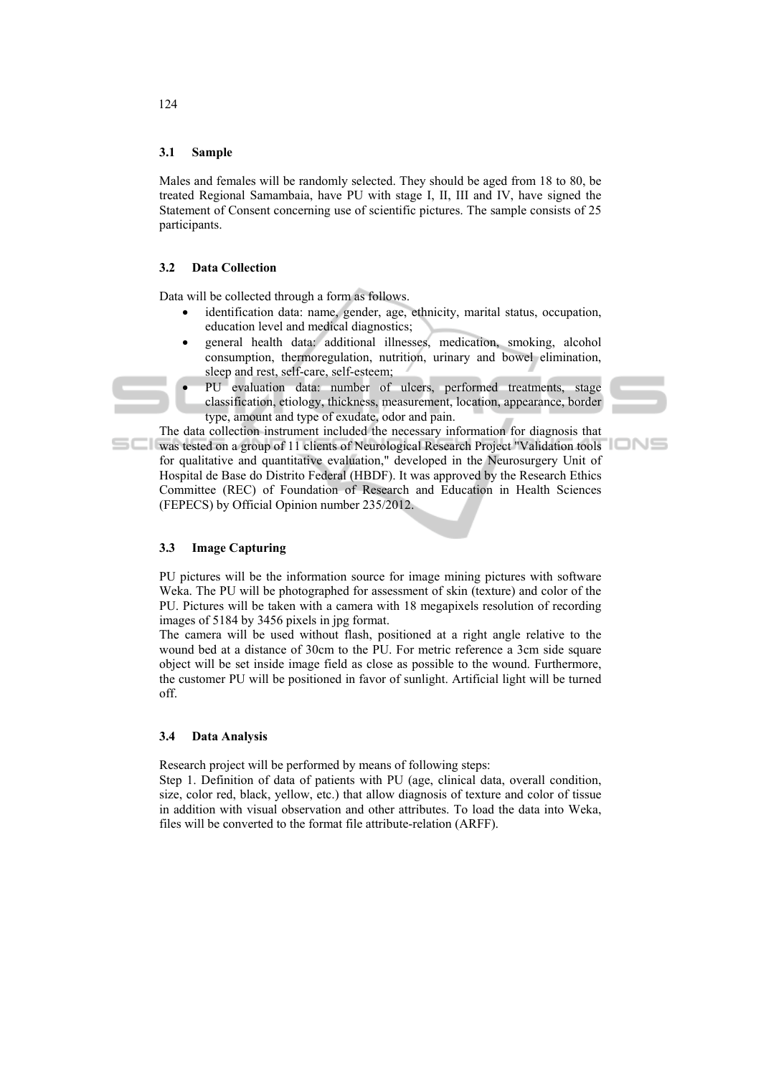#### **3.1 Sample**

Males and females will be randomly selected. They should be aged from 18 to 80, be treated Regional Samambaia, have PU with stage I, II, III and IV, have signed the Statement of Consent concerning use of scientific pictures. The sample consists of 25 participants.

#### **3.2 Data Collection**

Data will be collected through a form as follows.

- identification data: name, gender, age, ethnicity, marital status, occupation, education level and medical diagnostics;
- general health data: additional illnesses, medication, smoking, alcohol consumption, thermoregulation, nutrition, urinary and bowel elimination, sleep and rest, self-care, self-esteem;
	- PU evaluation data: number of ulcers, performed treatments, stage classification, etiology, thickness, measurement, location, appearance, border type, amount and type of exudate, odor and pain.

The data collection instrument included the necessary information for diagnosis that was tested on a group of 11 clients of Neurological Research Project "Validation tools for qualitative and quantitative evaluation," developed in the Neurosurgery Unit of Hospital de Base do Distrito Federal (HBDF). It was approved by the Research Ethics Committee (REC) of Foundation of Research and Education in Health Sciences (FEPECS) by Official Opinion number 235/2012.

#### **3.3 Image Capturing**

PU pictures will be the information source for image mining pictures with software Weka. The PU will be photographed for assessment of skin (texture) and color of the PU. Pictures will be taken with a camera with 18 megapixels resolution of recording images of 5184 by 3456 pixels in jpg format.

The camera will be used without flash, positioned at a right angle relative to the wound bed at a distance of 30cm to the PU. For metric reference a 3cm side square object will be set inside image field as close as possible to the wound. Furthermore, the customer PU will be positioned in favor of sunlight. Artificial light will be turned off.

#### **3.4 Data Analysis**

Research project will be performed by means of following steps:

Step 1. Definition of data of patients with PU (age, clinical data, overall condition, size, color red, black, yellow, etc.) that allow diagnosis of texture and color of tissue in addition with visual observation and other attributes. To load the data into Weka, files will be converted to the format file attribute-relation (ARFF).

124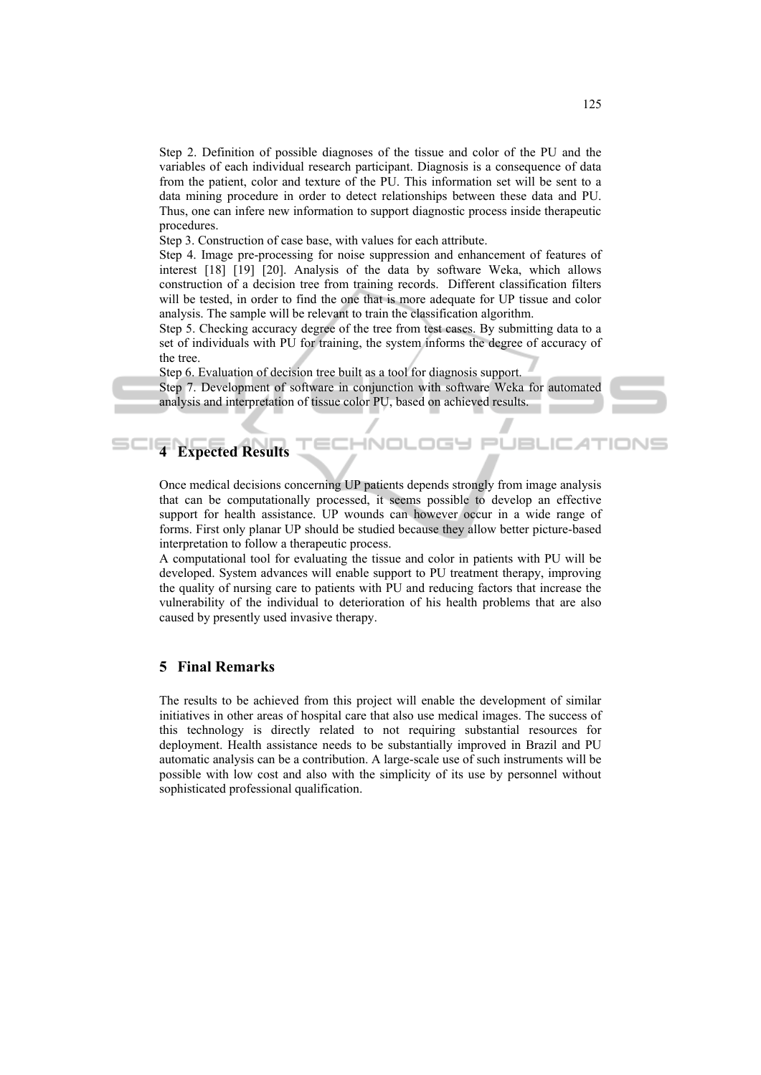Step 2. Definition of possible diagnoses of the tissue and color of the PU and the variables of each individual research participant. Diagnosis is a consequence of data from the patient, color and texture of the PU. This information set will be sent to a data mining procedure in order to detect relationships between these data and PU. Thus, one can infere new information to support diagnostic process inside therapeutic procedures.

Step 3. Construction of case base, with values for each attribute.

Step 4. Image pre-processing for noise suppression and enhancement of features of interest [18] [19] [20]. Analysis of the data by software Weka, which allows construction of a decision tree from training records. Different classification filters will be tested, in order to find the one that is more adequate for UP tissue and color analysis. The sample will be relevant to train the classification algorithm.

Step 5. Checking accuracy degree of the tree from test cases. By submitting data to a set of individuals with PU for training, the system informs the degree of accuracy of the tree.

Step 6. Evaluation of decision tree built as a tool for diagnosis support.

Step 7. Development of software in conjunction with software Weka for automated analysis and interpretation of tissue color PU, based on achieved results.

**ECHNOLOGY PI** 

JBL



# **4 Expected Results**

Once medical decisions concerning UP patients depends strongly from image analysis that can be computationally processed, it seems possible to develop an effective support for health assistance. UP wounds can however occur in a wide range of forms. First only planar UP should be studied because they allow better picture-based interpretation to follow a therapeutic process.

A computational tool for evaluating the tissue and color in patients with PU will be developed. System advances will enable support to PU treatment therapy, improving the quality of nursing care to patients with PU and reducing factors that increase the vulnerability of the individual to deterioration of his health problems that are also caused by presently used invasive therapy.

# **5 Final Remarks**

The results to be achieved from this project will enable the development of similar initiatives in other areas of hospital care that also use medical images. The success of this technology is directly related to not requiring substantial resources for deployment. Health assistance needs to be substantially improved in Brazil and PU automatic analysis can be a contribution. A large-scale use of such instruments will be possible with low cost and also with the simplicity of its use by personnel without sophisticated professional qualification.